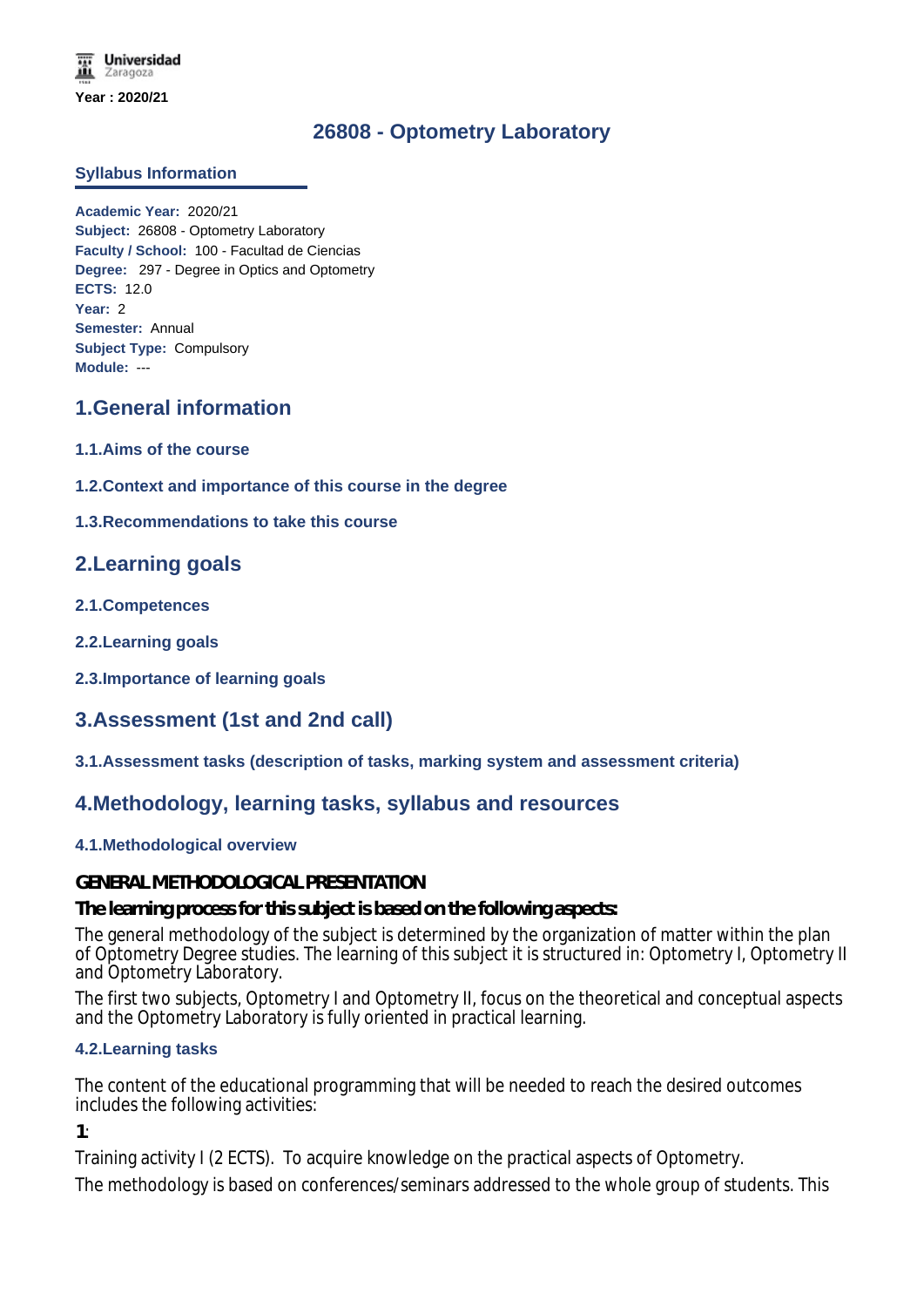# **26808 - Optometry Laboratory**

#### **Syllabus Information**

**Academic Year:** 2020/21 **Subject:** 26808 - Optometry Laboratory **Faculty / School:** 100 - Facultad de Ciencias **Degree:** 297 - Degree in Optics and Optometry **ECTS:** 12.0 **Year:** 2 **Semester:** Annual **Subject Type:** Compulsory **Module:** ---

## **1.General information**

- **1.1.Aims of the course**
- **1.2.Context and importance of this course in the degree**
- **1.3.Recommendations to take this course**

### **2.Learning goals**

- **2.1.Competences**
- **2.2.Learning goals**
- **2.3.Importance of learning goals**

# **3.Assessment (1st and 2nd call)**

**3.1.Assessment tasks (description of tasks, marking system and assessment criteria)**

### **4.Methodology, learning tasks, syllabus and resources**

#### **4.1.Methodological overview**

#### **GENERAL METHODOLOGICAL PRESENTATION**

**The learning process for this subject is based on the following aspects:**

The general methodology of the subject is determined by the organization of matter within the plan of Optometry Degree studies. The learning of this subject it is structured in: Optometry I, Optometry II and Optometry Laboratory.

The first two subjects, Optometry I and Optometry II, focus on the theoretical and conceptual aspects and the Optometry Laboratory is fully oriented in practical learning.

#### **4.2.Learning tasks**

The content of the educational programming that will be needed to reach the desired outcomes includes the following activities:

**1**:

Training activity I (2 ECTS). To acquire knowledge on the practical aspects of Optometry.

The methodology is based on conferences/seminars addressed to the whole group of students. This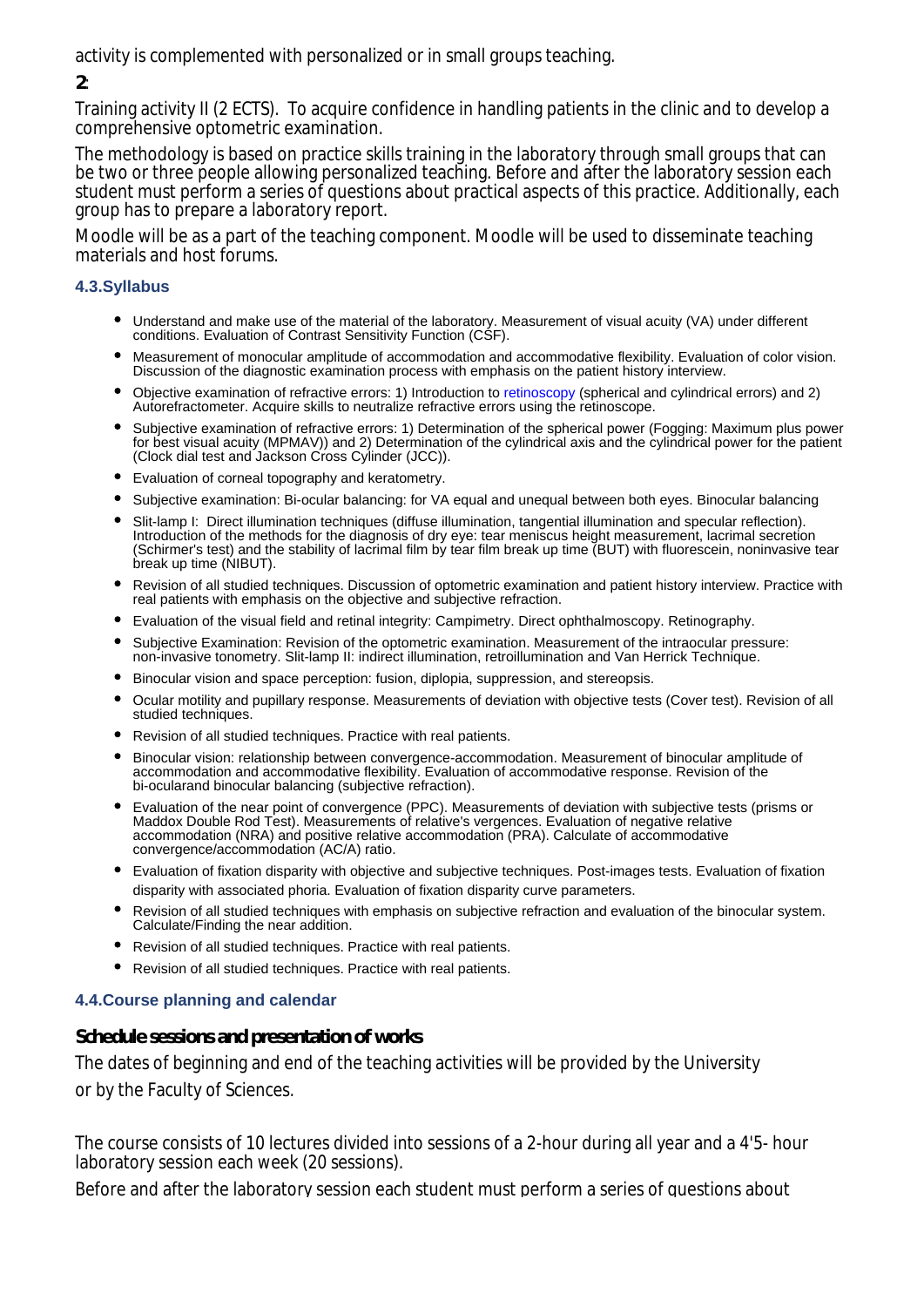activity is complemented with personalized or in small groups teaching.

### **2**:

Training activity II (2 ECTS). To acquire confidence in handling patients in the clinic and to develop a comprehensive optometric examination.

The methodology is based on practice skills training in the laboratory through small groups that can be two or three people allowing personalized teaching. Before and after the laboratory session each student must perform a series of questions about practical aspects of this practice. Additionally, each group has to prepare a laboratory report.

Moodle will be as a part of the teaching component. Moodle will be used to disseminate teaching materials and host forums.

### **4.3.Syllabus**

- Understand and make use of the material of the laboratory. Measurement of visual acuity (VA) under different conditions. Evaluation of Contrast Sensitivity Function (CSF).
- Measurement of monocular amplitude of accommodation and accommodative flexibility. Evaluation of color vision. Discussion of the diagnostic examination process with emphasis on the patient history interview.
- Objective examination of refractive errors: 1) Introduction to retinoscopy (spherical and cylindrical errors) and 2) Autorefractometer. Acquire skills to neutralize refractive errors using the retinoscope.
- Subjective examination of refractive errors: 1) Determination of the spherical power (Fogging: Maximum plus power for best visual acuity (MPMAV)) and 2) Determination of the cylindrical axis and the cylindrical power for the patient (Clock dial test and Jackson Cross Cylinder (JCC)).
- Evaluation of corneal topography and keratometry.
- $\bullet$ Subjective examination: Bi-ocular balancing: for VA equal and unequal between both eyes. Binocular balancing
- Slit-lamp I: Direct illumination techniques (diffuse illumination, tangential illumination and specular reflection). Introduction of the methods for the diagnosis of dry eye: tear meniscus height measurement, lacrimal secretion (Schirmer's test) and the stability of lacrimal film by tear film break up time (BUT) with fluorescein, noninvasive tear break up time (NIBUT).
- Revision of all studied techniques. Discussion of optometric examination and patient history interview. Practice with real patients with emphasis on the objective and subjective refraction.
- Evaluation of the visual field and retinal integrity: Campimetry. Direct ophthalmoscopy. Retinography.
- $\bullet$ Subjective Examination: Revision of the optometric examination. Measurement of the intraocular pressure: non-invasive tonometry. Slit-lamp II: indirect illumination, retroillumination and Van Herrick Technique.
- Binocular vision and space perception: fusion, diplopia, suppression, and stereopsis.
- Ocular motility and pupillary response. Measurements of deviation with objective tests (Cover test). Revision of all studied techniques.
- Revision of all studied techniques. Practice with real patients.
- Binocular vision: relationship between convergence-accommodation. Measurement of binocular amplitude of accommodation and accommodative flexibility. Evaluation of accommodative response. Revision of the bi-ocularand binocular balancing (subjective refraction).
- Evaluation of the near point of convergence (PPC). Measurements of deviation with subjective tests (prisms or Maddox Double Rod Test). Measurements of relative's vergences. Evaluation of negative relative accommodation (NRA) and positive relative accommodation (PRA). Calculate of accommodative convergence/accommodation (AC/A) ratio.
- Evaluation of fixation disparity with objective and subjective techniques. Post-images tests. Evaluation of fixation disparity with associated phoria. Evaluation of fixation disparity curve parameters.
- Revision of all studied techniques with emphasis on subjective refraction and evaluation of the binocular system. Calculate/Finding the near addition.
- Revision of all studied techniques. Practice with real patients.
- Revision of all studied techniques. Practice with real patients.

#### **4.4.Course planning and calendar**

**Schedule sessions and presentation of works**

The dates of beginning and end of the teaching activities will be provided by the University or by the Faculty of Sciences.

The course consists of 10 lectures divided into sessions of a 2-hour during all year and a 4'5- hour laboratory session each week (20 sessions).

Before and after the laboratory session each student must perform a series of questions about